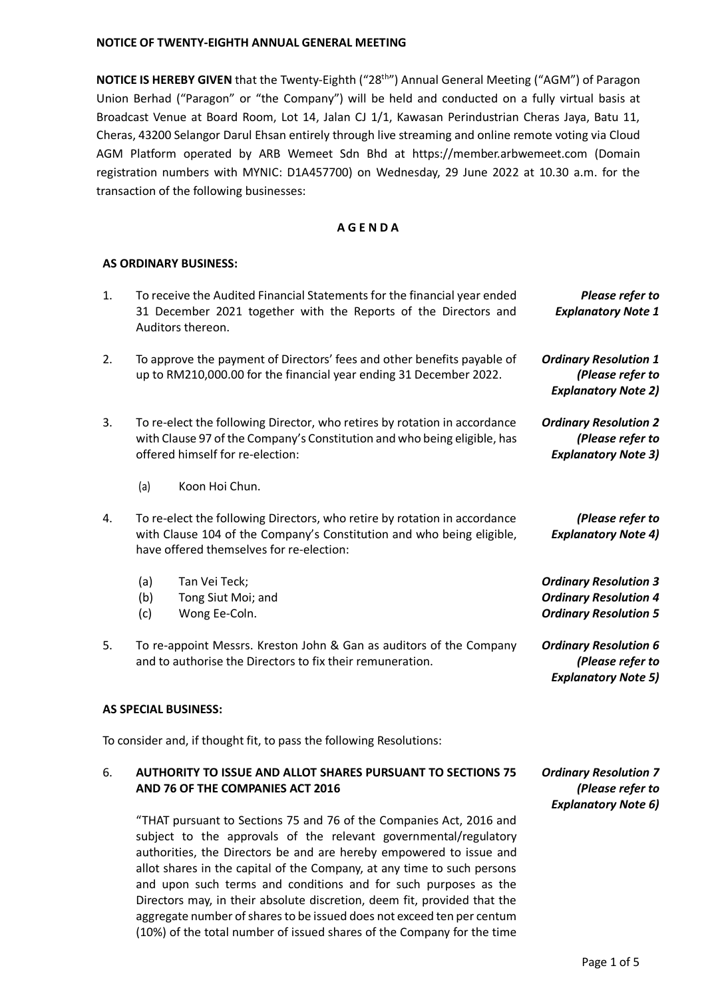**NOTICE IS HEREBY GIVEN** that the Twenty-Eighth ("28th") Annual General Meeting ("AGM") of Paragon Union Berhad ("Paragon" or "the Company") will be held and conducted on a fully virtual basis at Broadcast Venue at Board Room, Lot 14, Jalan CJ 1/1, Kawasan Perindustrian Cheras Jaya, Batu 11, Cheras, 43200 Selangor Darul Ehsan entirely through live streaming and online remote voting via Cloud AGM Platform operated by ARB Wemeet Sdn Bhd at https://member.arbwemeet.com (Domain registration numbers with MYNIC: D1A457700) on Wednesday, 29 June 2022 at 10.30 a.m. for the transaction of the following businesses:

### **A G E N D A**

#### **AS ORDINARY BUSINESS:**

| 1. | To receive the Audited Financial Statements for the financial year ended<br>Please refer to<br>31 December 2021 together with the Reports of the Directors and<br><b>Explanatory Note 1</b><br>Auditors thereon. |                                                                                                                                                                                                                                                                             |                                                                                              |
|----|------------------------------------------------------------------------------------------------------------------------------------------------------------------------------------------------------------------|-----------------------------------------------------------------------------------------------------------------------------------------------------------------------------------------------------------------------------------------------------------------------------|----------------------------------------------------------------------------------------------|
| 2. | To approve the payment of Directors' fees and other benefits payable of<br>up to RM210,000.00 for the financial year ending 31 December 2022.                                                                    |                                                                                                                                                                                                                                                                             | <b>Ordinary Resolution 1</b><br>(Please refer to<br><b>Explanatory Note 2)</b>               |
| 3. |                                                                                                                                                                                                                  | To re-elect the following Director, who retires by rotation in accordance<br><b>Ordinary Resolution 2</b><br>with Clause 97 of the Company's Constitution and who being eligible, has<br>(Please refer to<br>offered himself for re-election:<br><b>Explanatory Note 3)</b> |                                                                                              |
|    | (a)                                                                                                                                                                                                              | Koon Hoi Chun.                                                                                                                                                                                                                                                              |                                                                                              |
| 4. | To re-elect the following Directors, who retire by rotation in accordance<br>with Clause 104 of the Company's Constitution and who being eligible,<br>have offered themselves for re-election:                   |                                                                                                                                                                                                                                                                             | (Please refer to<br><b>Explanatory Note 4)</b>                                               |
|    | (a)<br>(b)<br>(c)                                                                                                                                                                                                | Tan Vei Teck;<br>Tong Siut Moi; and<br>Wong Ee-Coln.                                                                                                                                                                                                                        | <b>Ordinary Resolution 3</b><br><b>Ordinary Resolution 4</b><br><b>Ordinary Resolution 5</b> |
| 5. |                                                                                                                                                                                                                  | To re-appoint Messrs. Kreston John & Gan as auditors of the Company<br>and to authorise the Directors to fix their remuneration.                                                                                                                                            | <b>Ordinary Resolution 6</b><br>(Please refer to<br><b>Explanatory Note 5)</b>               |
|    |                                                                                                                                                                                                                  | <b>AS SPECIAL BUSINESS:</b>                                                                                                                                                                                                                                                 |                                                                                              |
|    |                                                                                                                                                                                                                  | To consider and, if thought fit, to pass the following Resolutions:                                                                                                                                                                                                         |                                                                                              |
| 6. |                                                                                                                                                                                                                  | <b>AUTHORITY TO ISSUE AND ALLOT SHARES PURSUANT TO SECTIONS 75</b><br>AND 76 OF THE COMPANIES ACT 2016                                                                                                                                                                      | <b>Ordinary Resolution 7</b><br>(Please refer to                                             |

"THAT pursuant to Sections 75 and 76 of the Companies Act, 2016 and subject to the approvals of the relevant governmental/regulatory authorities, the Directors be and are hereby empowered to issue and allot shares in the capital of the Company, at any time to such persons and upon such terms and conditions and for such purposes as the Directors may, in their absolute discretion, deem fit, provided that the aggregate number of shares to be issued does not exceed ten per centum (10%) of the total number of issued shares of the Company for the time

*Explanatory Note 6)*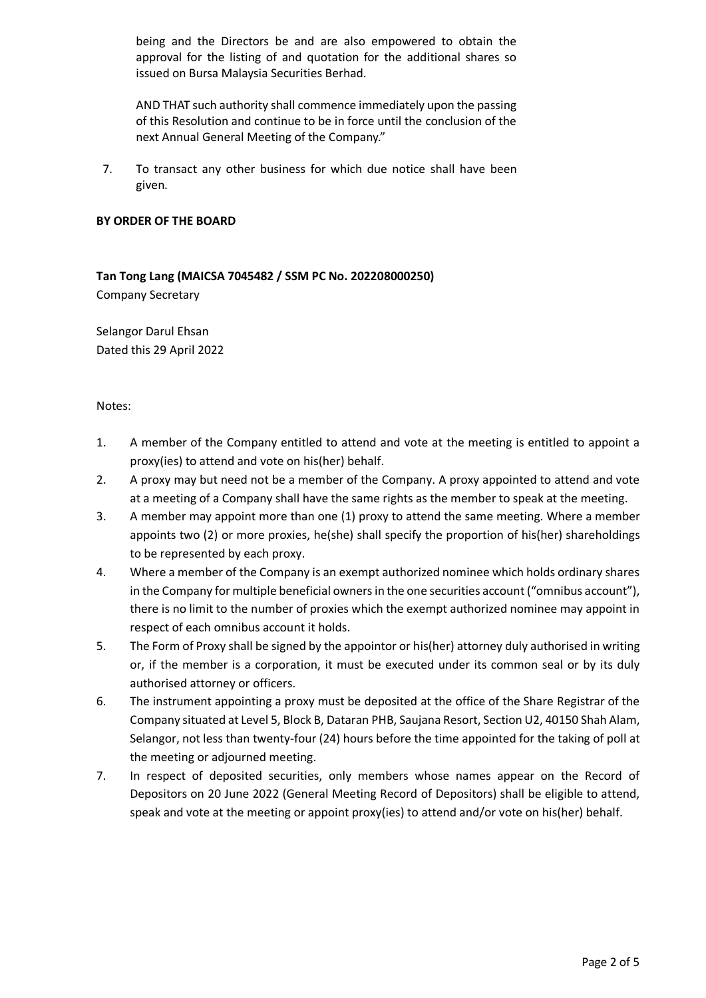being and the Directors be and are also empowered to obtain the approval for the listing of and quotation for the additional shares so issued on Bursa Malaysia Securities Berhad.

AND THAT such authority shall commence immediately upon the passing of this Resolution and continue to be in force until the conclusion of the next Annual General Meeting of the Company."

7. To transact any other business for which due notice shall have been given.

#### **BY ORDER OF THE BOARD**

**Tan Tong Lang (MAICSA 7045482 / SSM PC No. 202208000250)** Company Secretary

Selangor Darul Ehsan Dated this 29 April 2022

Notes:

- 1. A member of the Company entitled to attend and vote at the meeting is entitled to appoint a proxy(ies) to attend and vote on his(her) behalf.
- 2. A proxy may but need not be a member of the Company. A proxy appointed to attend and vote at a meeting of a Company shall have the same rights as the member to speak at the meeting.
- 3. A member may appoint more than one (1) proxy to attend the same meeting. Where a member appoints two (2) or more proxies, he(she) shall specify the proportion of his(her) shareholdings to be represented by each proxy.
- 4. Where a member of the Company is an exempt authorized nominee which holds ordinary shares in the Company for multiple beneficial owners in the one securities account ("omnibus account"), there is no limit to the number of proxies which the exempt authorized nominee may appoint in respect of each omnibus account it holds.
- 5. The Form of Proxy shall be signed by the appointor or his(her) attorney duly authorised in writing or, if the member is a corporation, it must be executed under its common seal or by its duly authorised attorney or officers.
- 6. The instrument appointing a proxy must be deposited at the office of the Share Registrar of the Company situated at Level 5, Block B, Dataran PHB, Saujana Resort, Section U2, 40150 Shah Alam, Selangor, not less than twenty-four (24) hours before the time appointed for the taking of poll at the meeting or adjourned meeting.
- 7. In respect of deposited securities, only members whose names appear on the Record of Depositors on 20 June 2022 (General Meeting Record of Depositors) shall be eligible to attend, speak and vote at the meeting or appoint proxy(ies) to attend and/or vote on his(her) behalf.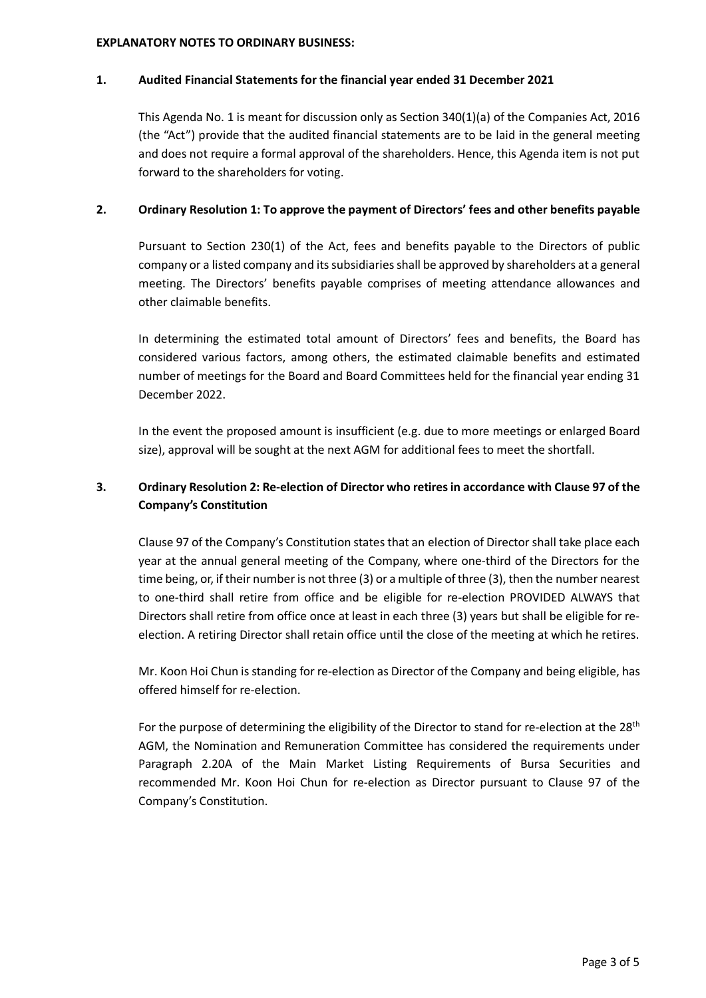#### **EXPLANATORY NOTES TO ORDINARY BUSINESS:**

### **1. Audited Financial Statements for the financial year ended 31 December 2021**

This Agenda No. 1 is meant for discussion only as Section 340(1)(a) of the Companies Act, 2016 (the "Act") provide that the audited financial statements are to be laid in the general meeting and does not require a formal approval of the shareholders. Hence, this Agenda item is not put forward to the shareholders for voting.

### **2. Ordinary Resolution 1: To approve the payment of Directors' fees and other benefits payable**

Pursuant to Section 230(1) of the Act, fees and benefits payable to the Directors of public company or a listed company and its subsidiaries shall be approved by shareholders at a general meeting. The Directors' benefits payable comprises of meeting attendance allowances and other claimable benefits.

In determining the estimated total amount of Directors' fees and benefits, the Board has considered various factors, among others, the estimated claimable benefits and estimated number of meetings for the Board and Board Committees held for the financial year ending 31 December 2022.

In the event the proposed amount is insufficient (e.g. due to more meetings or enlarged Board size), approval will be sought at the next AGM for additional fees to meet the shortfall.

# **3. Ordinary Resolution 2: Re-election of Director who retires in accordance with Clause 97 of the Company's Constitution**

Clause 97 of the Company's Constitution states that an election of Director shall take place each year at the annual general meeting of the Company, where one-third of the Directors for the time being, or, if their number is not three (3) or a multiple of three (3), then the number nearest to one-third shall retire from office and be eligible for re-election PROVIDED ALWAYS that Directors shall retire from office once at least in each three (3) years but shall be eligible for reelection. A retiring Director shall retain office until the close of the meeting at which he retires.

Mr. Koon Hoi Chun is standing for re-election as Director of the Company and being eligible, has offered himself for re-election.

For the purpose of determining the eligibility of the Director to stand for re-election at the 28<sup>th</sup> AGM, the Nomination and Remuneration Committee has considered the requirements under Paragraph 2.20A of the Main Market Listing Requirements of Bursa Securities and recommended Mr. Koon Hoi Chun for re-election as Director pursuant to Clause 97 of the Company's Constitution.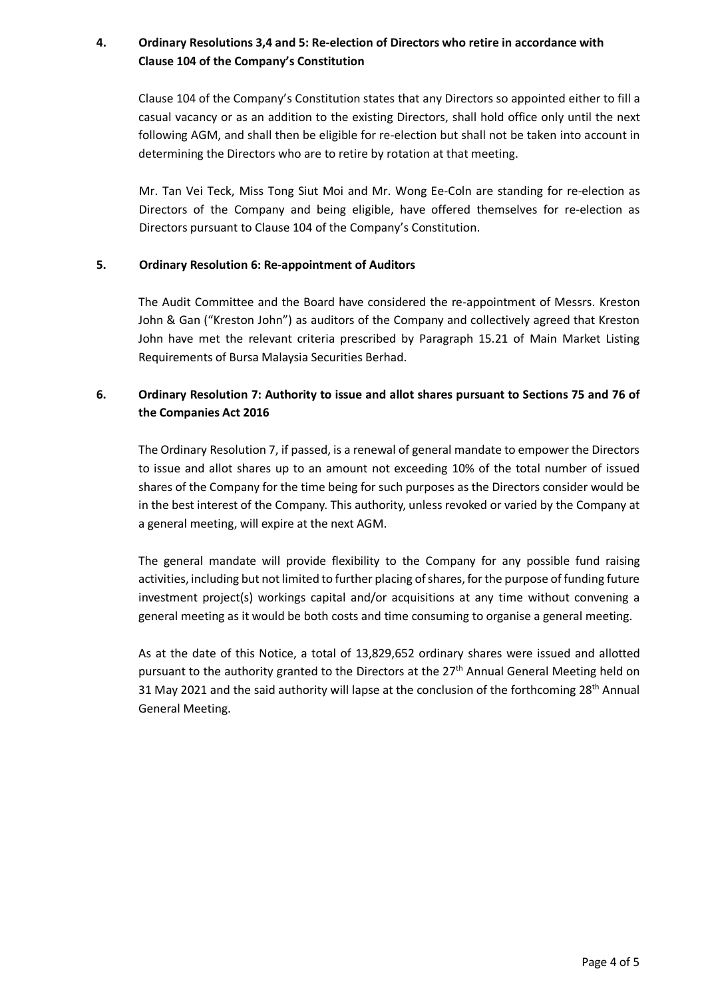# **4. Ordinary Resolutions 3,4 and 5: Re-election of Directors who retire in accordance with Clause 104 of the Company's Constitution**

Clause 104 of the Company's Constitution states that any Directors so appointed either to fill a casual vacancy or as an addition to the existing Directors, shall hold office only until the next following AGM, and shall then be eligible for re-election but shall not be taken into account in determining the Directors who are to retire by rotation at that meeting.

Mr. Tan Vei Teck, Miss Tong Siut Moi and Mr. Wong Ee-Coln are standing for re-election as Directors of the Company and being eligible, have offered themselves for re-election as Directors pursuant to Clause 104 of the Company's Constitution.

## **5. Ordinary Resolution 6: Re-appointment of Auditors**

The Audit Committee and the Board have considered the re-appointment of Messrs. Kreston John & Gan ("Kreston John") as auditors of the Company and collectively agreed that Kreston John have met the relevant criteria prescribed by Paragraph 15.21 of Main Market Listing Requirements of Bursa Malaysia Securities Berhad.

# **6. Ordinary Resolution 7: Authority to issue and allot shares pursuant to Sections 75 and 76 of the Companies Act 2016**

The Ordinary Resolution 7, if passed, is a renewal of general mandate to empower the Directors to issue and allot shares up to an amount not exceeding 10% of the total number of issued shares of the Company for the time being for such purposes as the Directors consider would be in the best interest of the Company. This authority, unless revoked or varied by the Company at a general meeting, will expire at the next AGM.

The general mandate will provide flexibility to the Company for any possible fund raising activities, including but not limited to further placing of shares, for the purpose of funding future investment project(s) workings capital and/or acquisitions at any time without convening a general meeting as it would be both costs and time consuming to organise a general meeting.

As at the date of this Notice, a total of 13,829,652 ordinary shares were issued and allotted pursuant to the authority granted to the Directors at the  $27<sup>th</sup>$  Annual General Meeting held on 31 May 2021 and the said authority will lapse at the conclusion of the forthcoming  $28<sup>th</sup>$  Annual General Meeting.